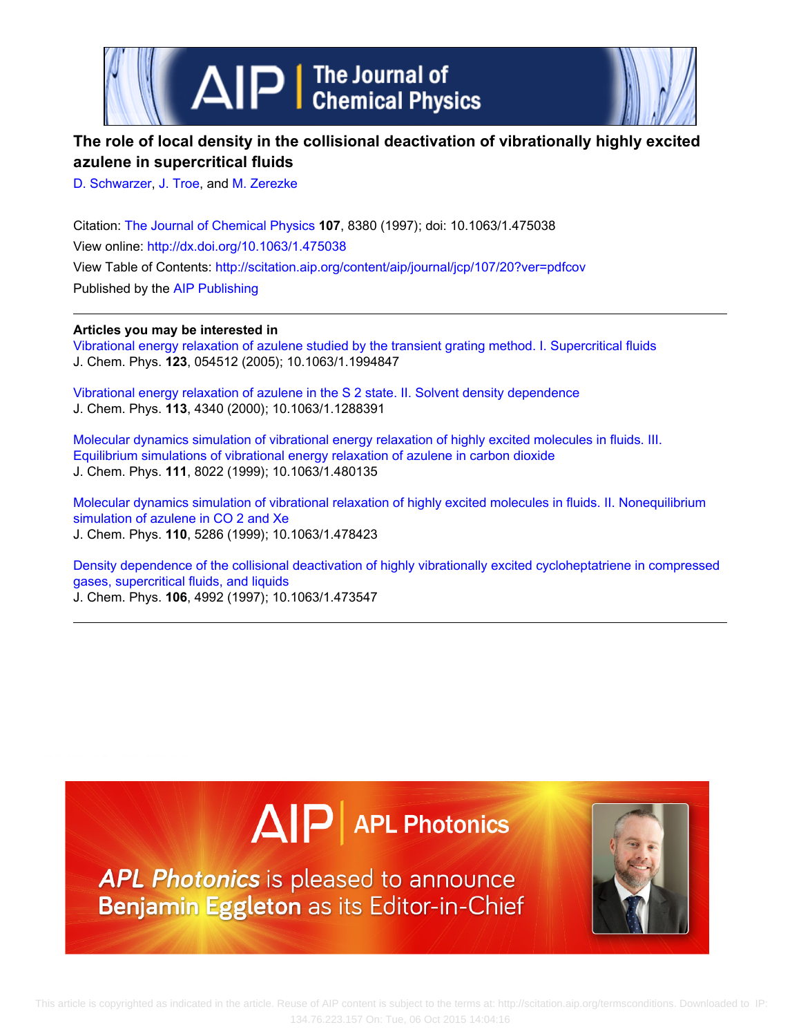

# **The role of local density in the collisional deactivation of vibrationally highly excited azulene in supercritical fluids**

[D. Schwarzer,](http://scitation.aip.org/search?value1=D.+Schwarzer&option1=author) [J. Troe,](http://scitation.aip.org/search?value1=J.+Troe&option1=author) and [M. Zerezke](http://scitation.aip.org/search?value1=M.+Zerezke&option1=author)

Citation: [The Journal of Chemical Physics](http://scitation.aip.org/content/aip/journal/jcp?ver=pdfcov) **107**, 8380 (1997); doi: 10.1063/1.475038 View online: <http://dx.doi.org/10.1063/1.475038> View Table of Contents: <http://scitation.aip.org/content/aip/journal/jcp/107/20?ver=pdfcov> Published by the [AIP Publishing](http://scitation.aip.org/content/aip?ver=pdfcov)

## **Articles you may be interested in**

[Vibrational energy relaxation of azulene studied by the transient grating method. I. Supercritical fluids](http://scitation.aip.org/content/aip/journal/jcp/123/5/10.1063/1.1994847?ver=pdfcov) J. Chem. Phys. **123**, 054512 (2005); 10.1063/1.1994847

[Vibrational energy relaxation of azulene in the S 2 state. II. Solvent density dependence](http://scitation.aip.org/content/aip/journal/jcp/113/10/10.1063/1.1288391?ver=pdfcov) J. Chem. Phys. **113**, 4340 (2000); 10.1063/1.1288391

[Molecular dynamics simulation of vibrational energy relaxation of highly excited molecules in fluids. III.](http://scitation.aip.org/content/aip/journal/jcp/111/17/10.1063/1.480135?ver=pdfcov) [Equilibrium simulations of vibrational energy relaxation of azulene in carbon dioxide](http://scitation.aip.org/content/aip/journal/jcp/111/17/10.1063/1.480135?ver=pdfcov) J. Chem. Phys. **111**, 8022 (1999); 10.1063/1.480135

[Molecular dynamics simulation of vibrational relaxation of highly excited molecules in fluids. II. Nonequilibrium](http://scitation.aip.org/content/aip/journal/jcp/110/11/10.1063/1.478423?ver=pdfcov) [simulation of azulene in CO 2 and Xe](http://scitation.aip.org/content/aip/journal/jcp/110/11/10.1063/1.478423?ver=pdfcov) J. Chem. Phys. **110**, 5286 (1999); 10.1063/1.478423

[Density dependence of the collisional deactivation of highly vibrationally excited cycloheptatriene in compressed](http://scitation.aip.org/content/aip/journal/jcp/106/12/10.1063/1.473547?ver=pdfcov) [gases, supercritical fluids, and liquids](http://scitation.aip.org/content/aip/journal/jcp/106/12/10.1063/1.473547?ver=pdfcov) J. Chem. Phys. **106**, 4992 (1997); 10.1063/1.473547

# $\Delta$   $\vert P \vert$  APL Photonics

APL Photonics is pleased to announce Benjamin Eggleton as its Editor-in-Chief

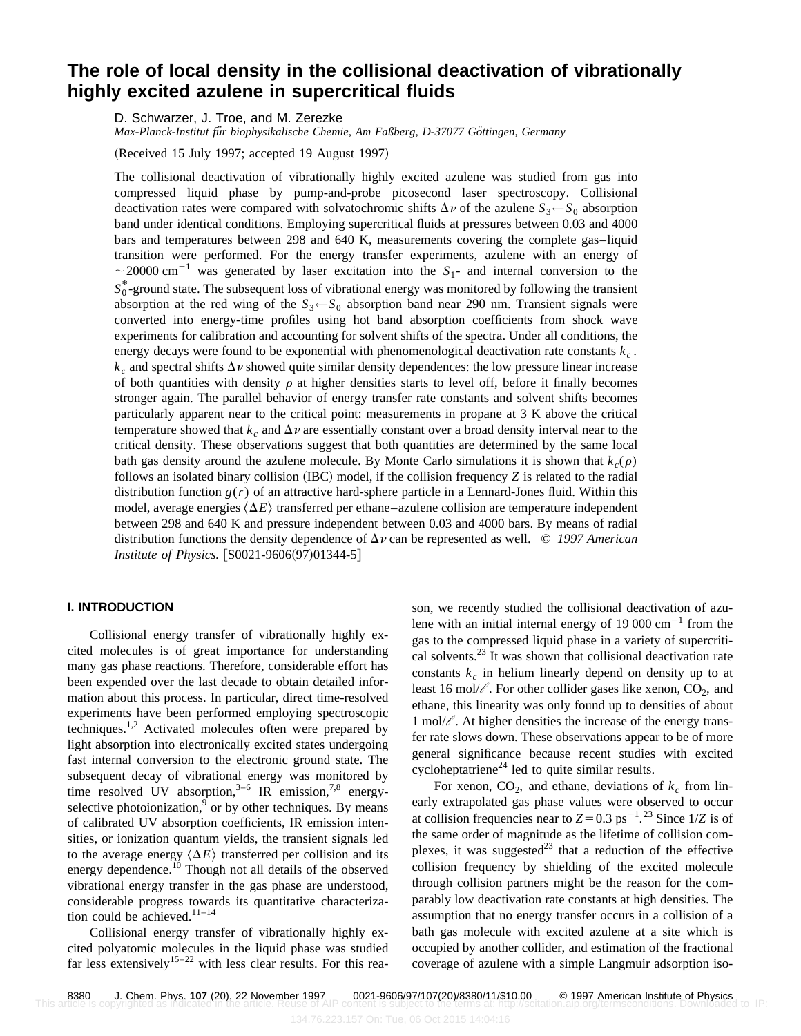# **The role of local density in the collisional deactivation of vibrationally highly excited azulene in supercritical fluids**

D. Schwarzer, J. Troe, and M. Zerezke

*Max-Planck-Institut für biophysikalische Chemie, Am Faßberg, D-37077 Göttingen, Germany* 

 $(Received 15 July 1997; accepted 19 August 1997)$ 

The collisional deactivation of vibrationally highly excited azulene was studied from gas into compressed liquid phase by pump-and-probe picosecond laser spectroscopy. Collisional deactivation rates were compared with solvatochromic shifts  $\Delta \nu$  of the azulene  $S_3 \leftarrow S_0$  absorption band under identical conditions. Employing supercritical fluids at pressures between 0.03 and 4000 bars and temperatures between 298 and 640 K, measurements covering the complete gas–liquid transition were performed. For the energy transfer experiments, azulene with an energy of  $\sim$  20000 cm<sup>-1</sup> was generated by laser excitation into the  $S_1$ - and internal conversion to the  $S_0^*$ -ground state. The subsequent loss of vibrational energy was monitored by following the transient absorption at the red wing of the  $S_3 \leftarrow S_0$  absorption band near 290 nm. Transient signals were converted into energy-time profiles using hot band absorption coefficients from shock wave experiments for calibration and accounting for solvent shifts of the spectra. Under all conditions, the energy decays were found to be exponential with phenomenological deactivation rate constants *kc* .  $k_c$  and spectral shifts  $\Delta \nu$  showed quite similar density dependences: the low pressure linear increase of both quantities with density  $\rho$  at higher densities starts to level off, before it finally becomes stronger again. The parallel behavior of energy transfer rate constants and solvent shifts becomes particularly apparent near to the critical point: measurements in propane at 3 K above the critical temperature showed that  $k_c$  and  $\Delta \nu$  are essentially constant over a broad density interval near to the critical density. These observations suggest that both quantities are determined by the same local bath gas density around the azulene molecule. By Monte Carlo simulations it is shown that  $k_c(\rho)$ follows an isolated binary collision  $(IBC)$  model, if the collision frequency  $Z$  is related to the radial distribution function  $g(r)$  of an attractive hard-sphere particle in a Lennard-Jones fluid. Within this model, average energies  $\langle \Delta E \rangle$  transferred per ethane–azulene collision are temperature independent between 298 and 640 K and pressure independent between 0.03 and 4000 bars. By means of radial distribution functions the density dependence of  $\Delta v$  can be represented as well.  $\odot$  1997 American *Institute of Physics.* [S0021-9606(97)01344-5]

#### **I. INTRODUCTION**

Collisional energy transfer of vibrationally highly excited molecules is of great importance for understanding many gas phase reactions. Therefore, considerable effort has been expended over the last decade to obtain detailed information about this process. In particular, direct time-resolved experiments have been performed employing spectroscopic techniques.<sup>1,2</sup> Activated molecules often were prepared by light absorption into electronically excited states undergoing fast internal conversion to the electronic ground state. The subsequent decay of vibrational energy was monitored by time resolved UV absorption,  $3-6$  IR emission,  $7,8$  energyselective photoionization, $9$  or by other techniques. By means of calibrated UV absorption coefficients, IR emission intensities, or ionization quantum yields, the transient signals led to the average energy  $\langle \Delta E \rangle$  transferred per collision and its energy dependence.<sup>10</sup> Though not all details of the observed vibrational energy transfer in the gas phase are understood, considerable progress towards its quantitative characterization could be achieved. $11-14$ 

Collisional energy transfer of vibrationally highly excited polyatomic molecules in the liquid phase was studied far less extensively<sup>15–22</sup> with less clear results. For this reason, we recently studied the collisional deactivation of azulene with an initial internal energy of  $19000 \text{ cm}^{-1}$  from the gas to the compressed liquid phase in a variety of supercritical solvents.<sup>23</sup> It was shown that collisional deactivation rate constants  $k<sub>c</sub>$  in helium linearly depend on density up to at least 16 mol/ $\ell$ . For other collider gases like xenon,  $CO_2$ , and ethane, this linearity was only found up to densities of about 1 mol/*l* . At higher densities the increase of the energy transfer rate slows down. These observations appear to be of more general significance because recent studies with excited cycloheptatriene<sup>24</sup> led to quite similar results.

For xenon,  $CO<sub>2</sub>$ , and ethane, deviations of  $k_c$  from linearly extrapolated gas phase values were observed to occur at collision frequencies near to  $Z = 0.3$  ps<sup>-1</sup>.<sup>23</sup> Since 1/*Z* is of the same order of magnitude as the lifetime of collision complexes, it was suggested<sup>23</sup> that a reduction of the effective collision frequency by shielding of the excited molecule through collision partners might be the reason for the comparably low deactivation rate constants at high densities. The assumption that no energy transfer occurs in a collision of a bath gas molecule with excited azulene at a site which is occupied by another collider, and estimation of the fractional coverage of azulene with a simple Langmuir adsorption iso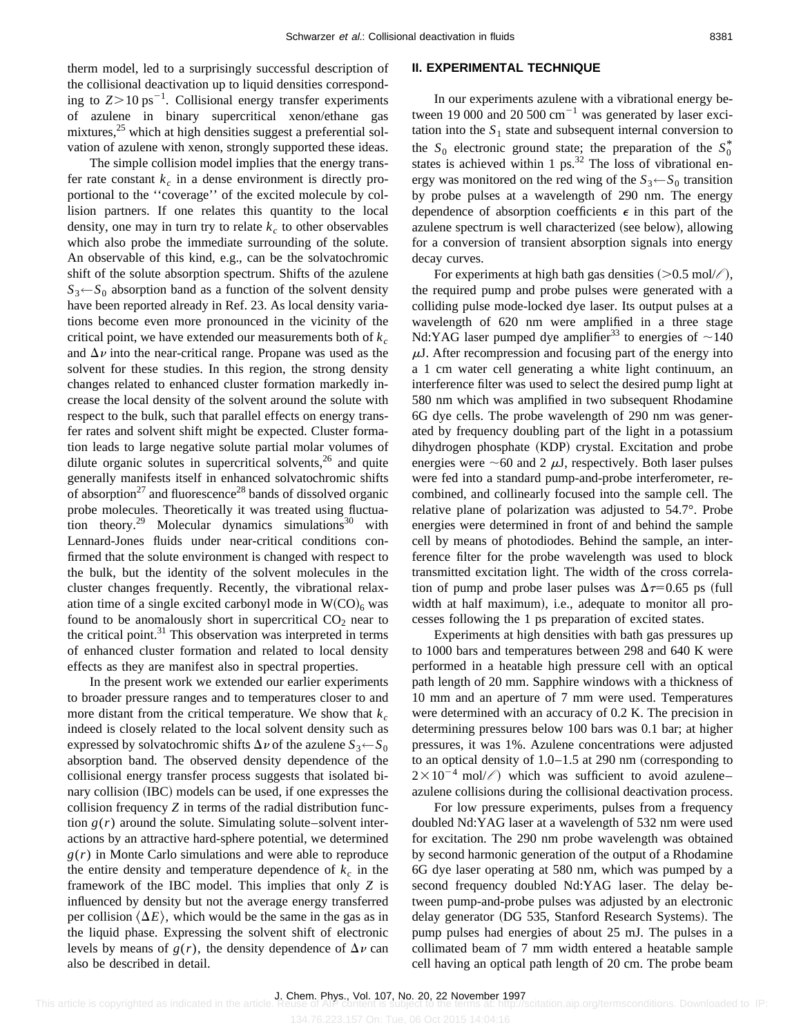therm model, led to a surprisingly successful description of the collisional deactivation up to liquid densities corresponding to  $Z > 10 \text{ ps}^{-1}$ . Collisional energy transfer experiments of azulene in binary supercritical xenon/ethane gas mixtures,<sup>25</sup> which at high densities suggest a preferential solvation of azulene with xenon, strongly supported these ideas.

The simple collision model implies that the energy transfer rate constant  $k_c$  in a dense environment is directly proportional to the ''coverage'' of the excited molecule by collision partners. If one relates this quantity to the local density, one may in turn try to relate  $k_c$  to other observables which also probe the immediate surrounding of the solute. An observable of this kind, e.g., can be the solvatochromic shift of the solute absorption spectrum. Shifts of the azulene  $S_3 \leftarrow S_0$  absorption band as a function of the solvent density have been reported already in Ref. 23. As local density variations become even more pronounced in the vicinity of the critical point, we have extended our measurements both of  $k_c$ and  $\Delta \nu$  into the near-critical range. Propane was used as the solvent for these studies. In this region, the strong density changes related to enhanced cluster formation markedly increase the local density of the solvent around the solute with respect to the bulk, such that parallel effects on energy transfer rates and solvent shift might be expected. Cluster formation leads to large negative solute partial molar volumes of dilute organic solutes in supercritical solvents, $26$  and quite generally manifests itself in enhanced solvatochromic shifts of absorption<sup>27</sup> and fluorescence<sup>28</sup> bands of dissolved organic probe molecules. Theoretically it was treated using fluctuation theory.<sup>29</sup> Molecular dynamics simulations<sup>30</sup> with Lennard-Jones fluids under near-critical conditions confirmed that the solute environment is changed with respect to the bulk, but the identity of the solvent molecules in the cluster changes frequently. Recently, the vibrational relaxation time of a single excited carbonyl mode in  $W({\rm CO})_6$  was found to be anomalously short in supercritical  $CO<sub>2</sub>$  near to the critical point.<sup>31</sup> This observation was interpreted in terms of enhanced cluster formation and related to local density effects as they are manifest also in spectral properties.

In the present work we extended our earlier experiments to broader pressure ranges and to temperatures closer to and more distant from the critical temperature. We show that  $k_c$ indeed is closely related to the local solvent density such as expressed by solvatochromic shifts  $\Delta \nu$  of the azulene  $S_3 \leftarrow S_0$ absorption band. The observed density dependence of the collisional energy transfer process suggests that isolated binary collision (IBC) models can be used, if one expresses the collision frequency *Z* in terms of the radial distribution function  $g(r)$  around the solute. Simulating solute–solvent interactions by an attractive hard-sphere potential, we determined *g*(*r*) in Monte Carlo simulations and were able to reproduce the entire density and temperature dependence of  $k_c$  in the framework of the IBC model. This implies that only *Z* is influenced by density but not the average energy transferred per collision  $\langle \Delta E \rangle$ , which would be the same in the gas as in the liquid phase. Expressing the solvent shift of electronic levels by means of  $g(r)$ , the density dependence of  $\Delta v$  can also be described in detail.

#### **II. EXPERIMENTAL TECHNIQUE**

In our experiments azulene with a vibrational energy between 19 000 and 20 500  $\text{cm}^{-1}$  was generated by laser excitation into the  $S_1$  state and subsequent internal conversion to the  $S_0$  electronic ground state; the preparation of the  $S_0^*$ states is achieved within 1 ps.<sup>32</sup> The loss of vibrational energy was monitored on the red wing of the  $S_3 \leftarrow S_0$  transition by probe pulses at a wavelength of 290 nm. The energy dependence of absorption coefficients  $\epsilon$  in this part of the azulene spectrum is well characterized (see below), allowing for a conversion of transient absorption signals into energy decay curves.

For experiments at high bath gas densities  $(>0.5 \text{ mol}/\ell)$ , the required pump and probe pulses were generated with a colliding pulse mode-locked dye laser. Its output pulses at a wavelength of 620 nm were amplified in a three stage Nd:YAG laser pumped dye amplifier<sup>33</sup> to energies of  $\sim$ 140  $\mu$ J. After recompression and focusing part of the energy into a 1 cm water cell generating a white light continuum, an interference filter was used to select the desired pump light at 580 nm which was amplified in two subsequent Rhodamine 6G dye cells. The probe wavelength of 290 nm was generated by frequency doubling part of the light in a potassium dihydrogen phosphate (KDP) crystal. Excitation and probe energies were  $\sim 60$  and 2  $\mu$ J, respectively. Both laser pulses were fed into a standard pump-and-probe interferometer, recombined, and collinearly focused into the sample cell. The relative plane of polarization was adjusted to 54.7°. Probe energies were determined in front of and behind the sample cell by means of photodiodes. Behind the sample, an interference filter for the probe wavelength was used to block transmitted excitation light. The width of the cross correlation of pump and probe laser pulses was  $\Delta \tau$ =0.65 ps (full width at half maximum), i.e., adequate to monitor all processes following the 1 ps preparation of excited states.

Experiments at high densities with bath gas pressures up to 1000 bars and temperatures between 298 and 640 K were performed in a heatable high pressure cell with an optical path length of 20 mm. Sapphire windows with a thickness of 10 mm and an aperture of 7 mm were used. Temperatures were determined with an accuracy of 0.2 K. The precision in determining pressures below 100 bars was 0.1 bar; at higher pressures, it was 1%. Azulene concentrations were adjusted to an optical density of  $1.0-1.5$  at 290 nm (corresponding to  $2\times10^{-4}$  mol/ $\ell$ ) which was sufficient to avoid azulene– azulene collisions during the collisional deactivation process.

For low pressure experiments, pulses from a frequency doubled Nd:YAG laser at a wavelength of 532 nm were used for excitation. The 290 nm probe wavelength was obtained by second harmonic generation of the output of a Rhodamine 6G dye laser operating at 580 nm, which was pumped by a second frequency doubled Nd:YAG laser. The delay between pump-and-probe pulses was adjusted by an electronic delay generator (DG 535, Stanford Research Systems). The pump pulses had energies of about 25 mJ. The pulses in a collimated beam of 7 mm width entered a heatable sample cell having an optical path length of 20 cm. The probe beam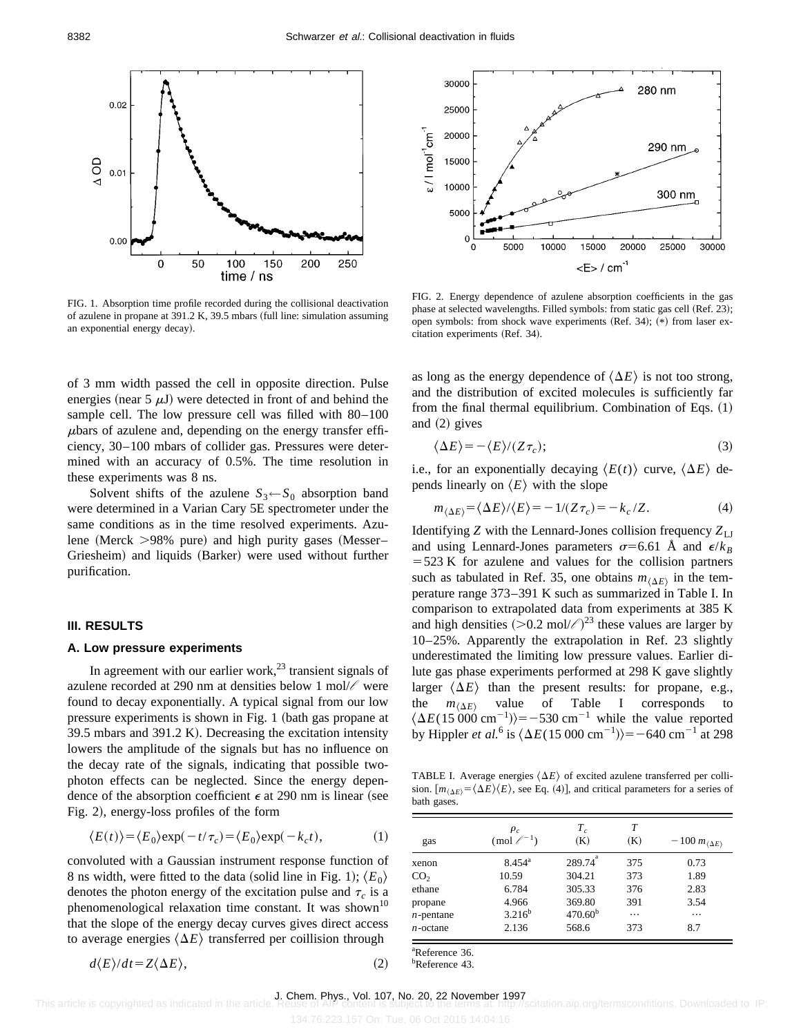

FIG. 1. Absorption time profile recorded during the collisional deactivation of azulene in propane at 391.2 K, 39.5 mbars (full line: simulation assuming an exponential energy decay).

of 3 mm width passed the cell in opposite direction. Pulse energies (near 5  $\mu$ J) were detected in front of and behind the sample cell. The low pressure cell was filled with 80–100  $\mu$ bars of azulene and, depending on the energy transfer efficiency, 30–100 mbars of collider gas. Pressures were determined with an accuracy of 0.5%. The time resolution in these experiments was 8 ns.

Solvent shifts of the azulene  $S_3 \leftarrow S_0$  absorption band were determined in a Varian Cary 5E spectrometer under the same conditions as in the time resolved experiments. Azulene (Merck  $>98\%$  pure) and high purity gases (Messer– Griesheim) and liquids (Barker) were used without further purification.

#### **III. RESULTS**

#### **A. Low pressure experiments**

In agreement with our earlier work, $^{23}$  transient signals of azulene recorded at 290 nm at densities below 1 mol/*l* were found to decay exponentially. A typical signal from our low pressure experiments is shown in Fig. 1 (bath gas propane at  $39.5$  mbars and  $391.2$  K). Decreasing the excitation intensity lowers the amplitude of the signals but has no influence on the decay rate of the signals, indicating that possible twophoton effects can be neglected. Since the energy dependence of the absorption coefficient  $\epsilon$  at 290 nm is linear (see Fig. 2), energy-loss profiles of the form

$$
\langle E(t) \rangle = \langle E_0 \rangle \exp(-t/\tau_c) = \langle E_0 \rangle \exp(-k_c t), \tag{1}
$$

convoluted with a Gaussian instrument response function of 8 ns width, were fitted to the data (solid line in Fig. 1);  $\langle E_0 \rangle$ denotes the photon energy of the excitation pulse and  $\tau_c$  is a phenomenological relaxation time constant. It was shown<sup>10</sup> that the slope of the energy decay curves gives direct access to average energies  $\langle \Delta E \rangle$  transferred per coillision through

$$
d\langle E\rangle/dt = Z\langle \Delta E\rangle, \tag{2}
$$



FIG. 2. Energy dependence of azulene absorption coefficients in the gas phase at selected wavelengths. Filled symbols: from static gas cell (Ref. 23); open symbols: from shock wave experiments  $(Ref. 34)$ ;  $(*)$  from laser excitation experiments (Ref. 34).

as long as the energy dependence of  $\langle \Delta E \rangle$  is not too strong, and the distribution of excited molecules is sufficiently far from the final thermal equilibrium. Combination of Eqs.  $(1)$ and  $(2)$  gives

$$
\langle \Delta E \rangle = -\langle E \rangle / (Z \tau_c); \tag{3}
$$

i.e., for an exponentially decaying  $\langle E(t) \rangle$  curve,  $\langle \Delta E \rangle$  depends linearly on  $\langle E \rangle$  with the slope

$$
m_{\langle \Delta E \rangle} = \langle \Delta E \rangle / \langle E \rangle = -1/(Z \tau_c) = -k_c / Z. \tag{4}
$$

Identifying  $Z$  with the Lennard-Jones collision frequency  $Z_{\text{LJ}}$ and using Lennard-Jones parameters  $\sigma$ =6.61 Å and  $\epsilon/k_B$  $=$  523 K for azulene and values for the collision partners such as tabulated in Ref. 35, one obtains  $m_{\langle \Delta E \rangle}$  in the temperature range 373–391 K such as summarized in Table I. In comparison to extrapolated data from experiments at 385 K and high densities  $(>0.2 \text{ mol}/\ell)^{23}$  these values are larger by 10–25%. Apparently the extrapolation in Ref. 23 slightly underestimated the limiting low pressure values. Earlier dilute gas phase experiments performed at 298 K gave slightly larger  $\langle \Delta E \rangle$  than the present results: for propane, e.g., the  $m_{\langle \Delta E \rangle}$  value of Table I corresponds to  $\langle \Delta E(15\,000\,\text{cm}^{-1}) \rangle = -530\,\text{cm}^{-1}$  while the value reported by Hippler *et al.*<sup>6</sup> is  $\langle \Delta E (15\,000\, \text{cm}^{-1}) \rangle = -640 \text{ cm}^{-1}$  at 298

TABLE I. Average energies  $\langle \Delta E \rangle$  of excited azulene transferred per collision.  $[m_{\langle \Delta E \rangle} = \langle \Delta E \rangle \langle E \rangle$ , see Eq. (4)], and critical parameters for a series of bath gases.

| gas             | $\rho_c$<br>$\pmod{\ell^{-1}}$ | $T_c$<br>(K)        | T<br>(K) | $-100 m_{\langle \Delta E \rangle}$ |
|-----------------|--------------------------------|---------------------|----------|-------------------------------------|
| xenon           | $8.454^{\rm a}$                | $289.74^{a}$        | 375      | 0.73                                |
| CO <sub>2</sub> | 10.59                          | 304.21              | 373      | 1.89                                |
| ethane          | 6.784                          | 305.33              | 376      | 2.83                                |
| propane         | 4.966                          | 369.80              | 391      | 3.54                                |
| $n$ -pentane    | $3.216^{b}$                    | 470.60 <sup>b</sup> | $\cdots$ | .                                   |
| $n$ -octane     | 2.136                          | 568.6               | 373      | 8.7                                 |

a Reference 36. b Reference 43.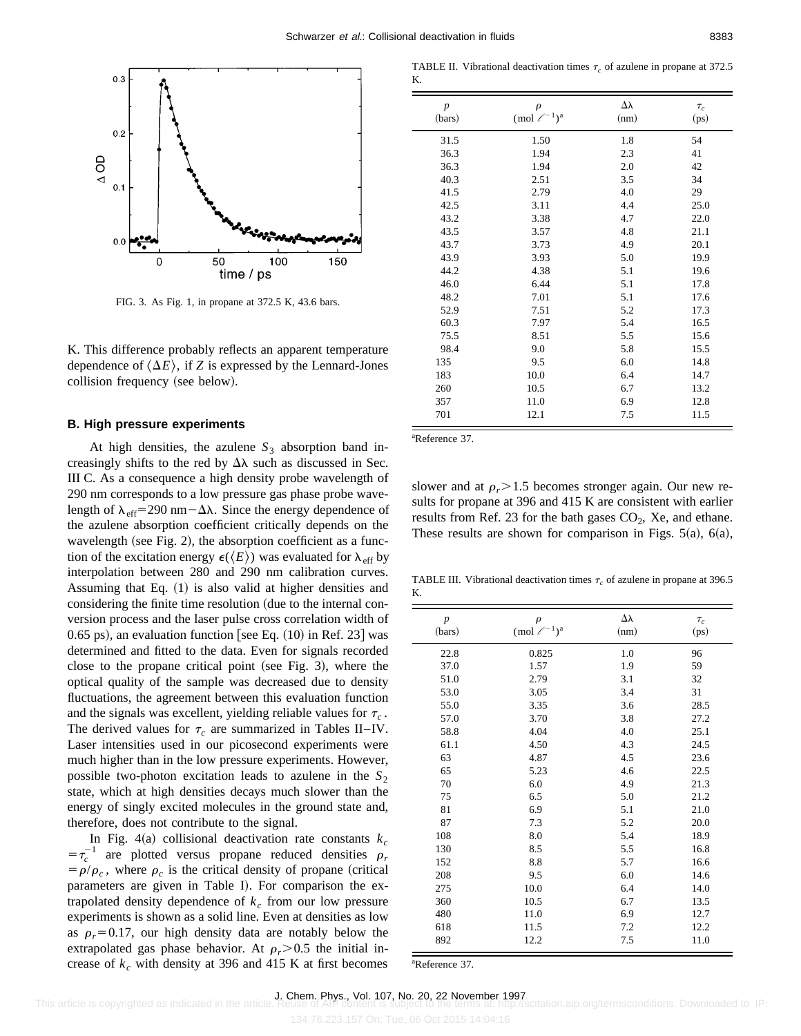

FIG. 3. As Fig. 1, in propane at 372.5 K, 43.6 bars.

K. This difference probably reflects an apparent temperature dependence of  $\langle \Delta E \rangle$ , if *Z* is expressed by the Lennard-Jones collision frequency (see below).

#### **B. High pressure experiments**

At high densities, the azulene  $S_3$  absorption band increasingly shifts to the red by  $\Delta\lambda$  such as discussed in Sec. III C. As a consequence a high density probe wavelength of 290 nm corresponds to a low pressure gas phase probe wavelength of  $\lambda_{\text{eff}}$ =290 nm - $\Delta\lambda$ . Since the energy dependence of the azulene absorption coefficient critically depends on the wavelength (see Fig. 2), the absorption coefficient as a function of the excitation energy  $\epsilon(\langle E \rangle)$  was evaluated for  $\lambda_{\text{eff}}$  by interpolation between 280 and 290 nm calibration curves. Assuming that Eq.  $(1)$  is also valid at higher densities and considering the finite time resolution (due to the internal conversion process and the laser pulse cross correlation width of 0.65 ps), an evaluation function [see Eq.  $(10)$  in Ref. 23] was determined and fitted to the data. Even for signals recorded close to the propane critical point (see Fig. 3), where the optical quality of the sample was decreased due to density fluctuations, the agreement between this evaluation function and the signals was excellent, yielding reliable values for  $\tau_c$ . The derived values for  $\tau_c$  are summarized in Tables II–IV. Laser intensities used in our picosecond experiments were much higher than in the low pressure experiments. However, possible two-photon excitation leads to azulene in the  $S_2$ state, which at high densities decays much slower than the energy of singly excited molecules in the ground state and, therefore, does not contribute to the signal.

In Fig.  $4(a)$  collisional deactivation rate constants  $k_c$  $=\tau_c^{-1}$  are plotted versus propane reduced densities  $\rho_r$  $= \rho/\rho_c$ , where  $\rho_c$  is the critical density of propane (critical parameters are given in Table I). For comparison the extrapolated density dependence of  $k<sub>c</sub>$  from our low pressure experiments is shown as a solid line. Even at densities as low as  $\rho_r = 0.17$ , our high density data are notably below the extrapolated gas phase behavior. At  $\rho_r > 0.5$  the initial increase of  $k_c$  with density at 396 and 415 K at first becomes

TABLE II. Vibrational deactivation times  $\tau_c$  of azulene in propane at 372.5 K.

| $\boldsymbol{p}$<br>(bars) | $\rho$<br>(mol $\ell^{-1}$ ) <sup>a</sup> | $\Delta\lambda$<br>(nm) | $\tau_c$<br>(ps) |
|----------------------------|-------------------------------------------|-------------------------|------------------|
| 31.5                       | 1.50                                      | 1.8                     | 54               |
| 36.3                       | 1.94                                      | 2.3                     | 41               |
| 36.3                       | 1.94                                      | 2.0                     | 42               |
| 40.3                       | 2.51                                      | 3.5                     | 34               |
| 41.5                       | 2.79                                      | 4.0                     | 29               |
| 42.5                       | 3.11                                      | 4.4                     | 25.0             |
| 43.2                       | 3.38                                      | 4.7                     | 22.0             |
| 43.5                       | 3.57                                      | 4.8                     | 21.1             |
| 43.7                       | 3.73                                      | 4.9                     | 20.1             |
| 43.9                       | 3.93                                      | 5.0                     | 19.9             |
| 44.2                       | 4.38                                      | 5.1                     | 19.6             |
| 46.0                       | 6.44                                      | 5.1                     | 17.8             |
| 48.2                       | 7.01                                      | 5.1                     | 17.6             |
| 52.9                       | 7.51                                      | 5.2                     | 17.3             |
| 60.3                       | 7.97                                      | 5.4                     | 16.5             |
| 75.5                       | 8.51                                      | 5.5                     | 15.6             |
| 98.4                       | 9.0                                       | 5.8                     | 15.5             |
| 135                        | 9.5                                       | 6.0                     | 14.8             |
| 183                        | 10.0                                      | 6.4                     | 14.7             |
| 260                        | 10.5                                      | 6.7                     | 13.2             |
| 357                        | 11.0                                      | 6.9                     | 12.8             |
| 701                        | 12.1                                      | 7.5                     | 11.5             |

a Reference 37.

slower and at  $\rho_r$  > 1.5 becomes stronger again. Our new results for propane at 396 and 415 K are consistent with earlier results from Ref. 23 for the bath gases  $CO<sub>2</sub>$ , Xe, and ethane. These results are shown for comparison in Figs.  $5(a)$ ,  $6(a)$ ,

TABLE III. Vibrational deactivation times  $\tau_c$  of azulene in propane at 396.5 K.

| $\boldsymbol{p}$<br>(bars) | $\rho$<br>(mol $\ell^{-1}$ ) <sup>a</sup> | $\Delta\lambda$<br>(nm) | $\tau_c$<br>(ps) |
|----------------------------|-------------------------------------------|-------------------------|------------------|
| 22.8                       | 0.825                                     | 1.0                     | 96               |
| 37.0                       | 1.57                                      | 1.9                     | 59               |
| 51.0                       | 2.79                                      | 3.1                     | 32               |
| 53.0                       | 3.05                                      | 3.4                     | 31               |
| 55.0                       | 3.35                                      | 3.6                     | 28.5             |
| 57.0                       | 3.70                                      | 3.8                     | 27.2             |
| 58.8                       | 4.04                                      | 4.0                     | 25.1             |
| 61.1                       | 4.50                                      | 4.3                     | 24.5             |
| 63                         | 4.87                                      | 4.5                     | 23.6             |
| 65                         | 5.23                                      | 4.6                     | 22.5             |
| 70                         | 6.0                                       | 4.9                     | 21.3             |
| 75                         | 6.5                                       | 5.0                     | 21.2             |
| 81                         | 6.9                                       | 5.1                     | 21.0             |
| 87                         | 7.3                                       | 5.2                     | 20.0             |
| 108                        | 8.0                                       | 5.4                     | 18.9             |
| 130                        | 8.5                                       | 5.5                     | 16.8             |
| 152                        | 8.8                                       | 5.7                     | 16.6             |
| 208                        | 9.5                                       | 6.0                     | 14.6             |
| 275                        | 10.0                                      | 6.4                     | 14.0             |
| 360                        | 10.5                                      | 6.7                     | 13.5             |
| 480                        | 11.0                                      | 6.9                     | 12.7             |
| 618                        | 11.5                                      | 7.2                     | 12.2             |
| 892                        | 12.2                                      | 7.5                     | 11.0             |

a Reference 37.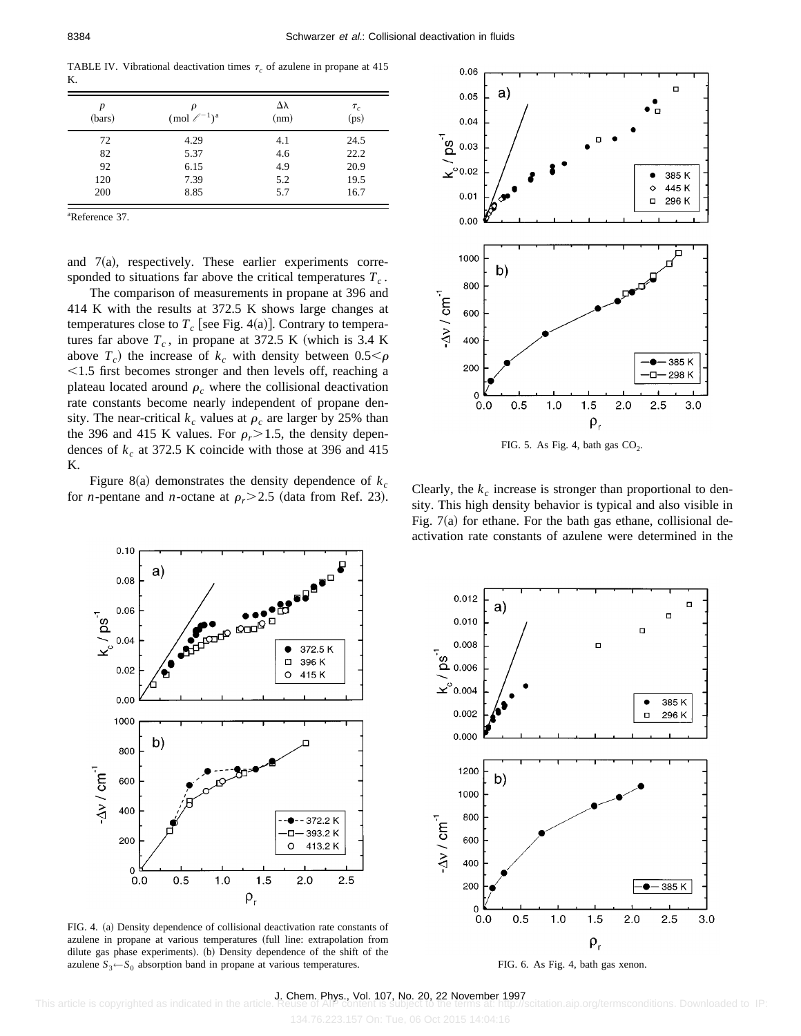TABLE IV. Vibrational deactivation times  $\tau_c$  of azulene in propane at 415 K.

| $\boldsymbol{p}$<br>(bars) | ρ<br>(mol $\ell^{-1}$ ) <sup>a</sup> | Δλ<br>(nm) | $\tau_c$<br>(ps) |
|----------------------------|--------------------------------------|------------|------------------|
| 72                         | 4.29                                 | 4.1        | 24.5             |
| 82                         | 5.37                                 | 4.6        | 22.2             |
| 92                         | 6.15                                 | 4.9        | 20.9             |
| 120                        | 7.39                                 | 5.2        | 19.5             |
| 200                        | 8.85                                 | 5.7        | 16.7             |

a Reference 37.

and  $7(a)$ , respectively. These earlier experiments corresponded to situations far above the critical temperatures  $T_c$ .

The comparison of measurements in propane at 396 and 414 K with the results at 372.5 K shows large changes at temperatures close to  $T_c$  [see Fig. 4(a)]. Contrary to temperatures far above  $T_c$ , in propane at 372.5 K (which is 3.4 K) above  $T_c$ ) the increase of  $k_c$  with density between  $0.5 < \rho$  $\leq$ 1.5 first becomes stronger and then levels off, reaching a plateau located around  $\rho_c$  where the collisional deactivation rate constants become nearly independent of propane density. The near-critical  $k_c$  values at  $\rho_c$  are larger by 25% than the 396 and 415 K values. For  $\rho_r$  > 1.5, the density dependences of  $k_c$  at 372.5 K coincide with those at 396 and 415 K.

Figure 8(a) demonstrates the density dependence of  $k_c$ for *n*-pentane and *n*-octane at  $\rho_r$  > 2.5 (data from Ref. 23). Clearly, the  $k_c$  increase is stronger than proportional to den-



FIG. 5. As Fig. 4, bath gas  $CO<sub>2</sub>$ .

sity. This high density behavior is typical and also visible in Fig.  $7(a)$  for ethane. For the bath gas ethane, collisional deactivation rate constants of azulene were determined in the



FIG. 4. (a) Density dependence of collisional deactivation rate constants of azulene in propane at various temperatures (full line: extrapolation from dilute gas phase experiments). (b) Density dependence of the shift of the azulene  $S_3 \leftarrow S_0$  absorption band in propane at various temperatures.



FIG. 6. As Fig. 4, bath gas xenon.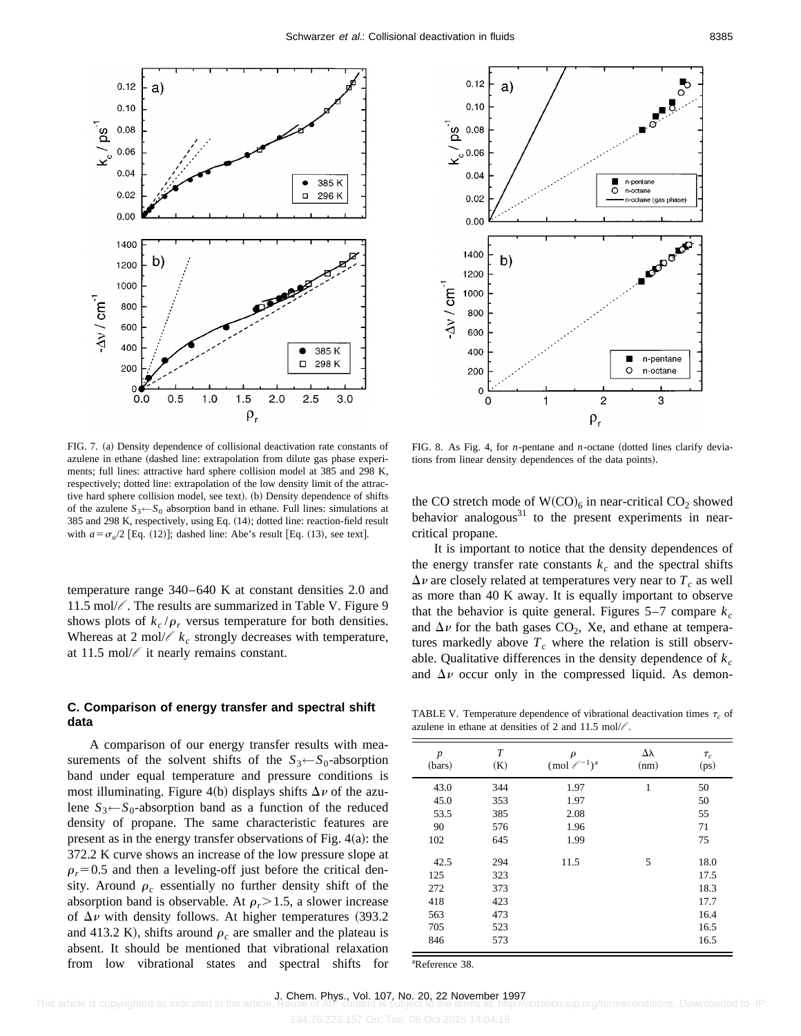



 $FIG. 7. (a) Density dependence of collisional deactivation rate constants of$ azulene in ethane (dashed line: extrapolation from dilute gas phase experiments; full lines: attractive hard sphere collision model at 385 and 298 K, respectively; dotted line: extrapolation of the low density limit of the attractive hard sphere collision model, see text). (b) Density dependence of shifts of the azulene  $S_3 \leftarrow S_0$  absorption band in ethane. Full lines: simulations at  $385$  and  $298$  K, respectively, using Eq.  $(14)$ ; dotted line: reaction-field result with  $a = \sigma_u/2$  [Eq. (12)]; dashed line: Abe's result [Eq. (13), see text].

temperature range 340–640 K at constant densities 2.0 and 11.5 mol/ $\ell$ . The results are summarized in Table V. Figure 9 shows plots of  $k_c/\rho_r$  versus temperature for both densities. Whereas at 2 mol/ $\ell$   $k_c$  strongly decreases with temperature, at 11.5 mol/ $\ell$  it nearly remains constant.

### **C. Comparison of energy transfer and spectral shift data**

A comparison of our energy transfer results with measurements of the solvent shifts of the  $S_3 \leftarrow S_0$ -absorption band under equal temperature and pressure conditions is most illuminating. Figure 4(b) displays shifts  $\Delta \nu$  of the azulene  $S_3 \leftarrow S_0$ -absorption band as a function of the reduced density of propane. The same characteristic features are present as in the energy transfer observations of Fig.  $4(a)$ : the 372.2 K curve shows an increase of the low pressure slope at  $\rho_r$ =0.5 and then a leveling-off just before the critical density. Around  $\rho_c$  essentially no further density shift of the absorption band is observable. At  $\rho_r$  > 1.5, a slower increase of  $\Delta \nu$  with density follows. At higher temperatures (393.2) and 413.2 K), shifts around  $\rho_c$  are smaller and the plateau is absent. It should be mentioned that vibrational relaxation from low vibrational states and spectral shifts for

FIG. 8. As Fig. 4, for *n*-pentane and *n*-octane (dotted lines clarify deviations from linear density dependences of the data points).

the CO stretch mode of  $W(CO)_6$  in near-critical  $CO_2$  showed behavior analogous $31$  to the present experiments in nearcritical propane.

It is important to notice that the density dependences of the energy transfer rate constants  $k<sub>c</sub>$  and the spectral shifts  $\Delta v$  are closely related at temperatures very near to  $T_c$  as well as more than 40 K away. It is equally important to observe that the behavior is quite general. Figures  $5-7$  compare  $k_c$ and  $\Delta \nu$  for the bath gases  $CO_2$ , Xe, and ethane at temperatures markedly above  $T_c$  where the relation is still observable. Qualitative differences in the density dependence of  $k_c$ and  $\Delta \nu$  occur only in the compressed liquid. As demon-

TABLE V. Temperature dependence of vibrational deactivation times  $\tau_c$  of azulene in ethane at densities of 2 and 11.5 mol/ $\ell$ .

| $\boldsymbol{p}$<br>(bars) | $\boldsymbol{T}$<br>(K) | $\rho$<br>(mol $\ell^{-1}$ ) <sup>a</sup> | $\Delta\lambda$<br>(nm) | $\tau_c$<br>(ps) |
|----------------------------|-------------------------|-------------------------------------------|-------------------------|------------------|
| 43.0                       | 344                     | 1.97                                      | $\mathbf{1}$            | 50               |
| 45.0                       | 353                     | 1.97                                      |                         | 50               |
| 53.5                       | 385                     | 2.08                                      |                         | 55               |
| 90                         | 576                     | 1.96                                      |                         | 71               |
| 102                        | 645                     | 1.99                                      |                         | 75               |
| 42.5                       | 294                     | 11.5                                      | 5                       | 18.0             |
| 125                        | 323                     |                                           |                         | 17.5             |
| 272                        | 373                     |                                           |                         | 18.3             |
| 418                        | 423                     |                                           |                         | 17.7             |
| 563                        | 473                     |                                           |                         | 16.4             |
| 705                        | 523                     |                                           |                         | 16.5             |
| 846                        | 573                     |                                           |                         | 16.5             |

a Reference 38.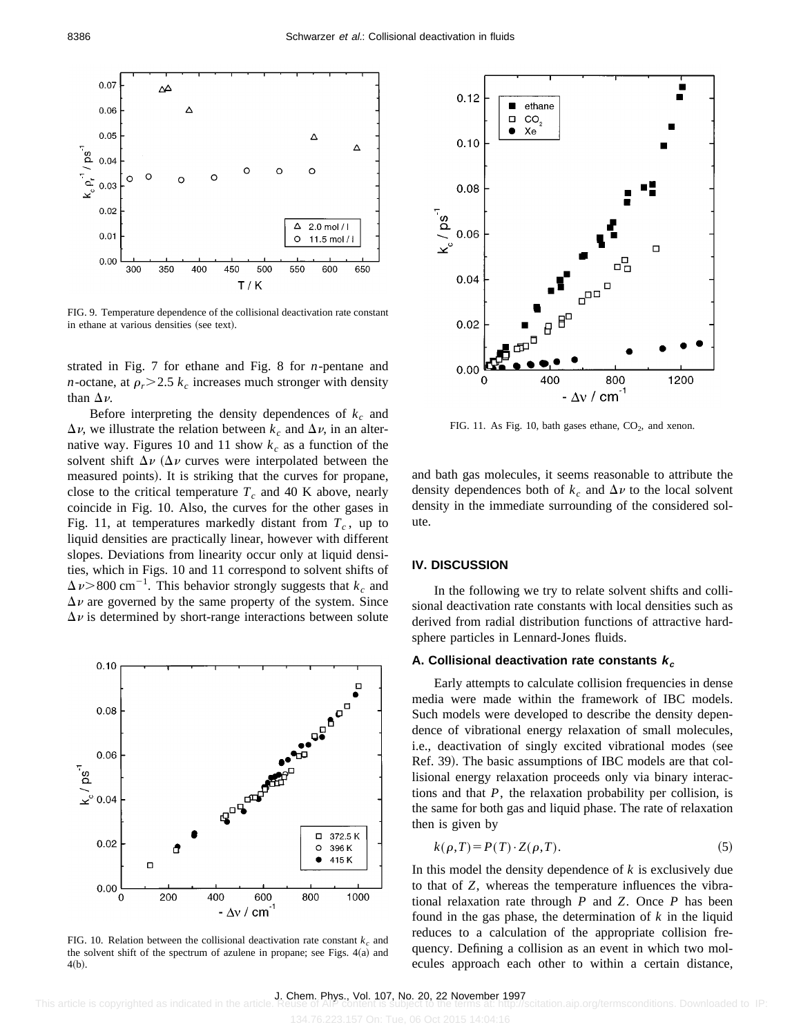

FIG. 9. Temperature dependence of the collisional deactivation rate constant in ethane at various densities (see text).

strated in Fig. 7 for ethane and Fig. 8 for *n*-pentane and *n*-octane, at  $\rho_r$   $>$  2.5  $k_c$  increases much stronger with density than  $\Delta \nu$ .

Before interpreting the density dependences of  $k_c$  and  $\Delta \nu$ , we illustrate the relation between  $k_c$  and  $\Delta \nu$ , in an alternative way. Figures 10 and 11 show  $k_c$  as a function of the solvent shift  $\Delta \nu$  ( $\Delta \nu$  curves were interpolated between the measured points). It is striking that the curves for propane, close to the critical temperature  $T_c$  and 40 K above, nearly coincide in Fig. 10. Also, the curves for the other gases in Fig. 11, at temperatures markedly distant from  $T_c$ , up to liquid densities are practically linear, however with different slopes. Deviations from linearity occur only at liquid densities, which in Figs. 10 and 11 correspond to solvent shifts of  $\Delta \nu$  > 800 cm<sup>-1</sup>. This behavior strongly suggests that  $k_c$  and  $\Delta \nu$  are governed by the same property of the system. Since  $\Delta \nu$  is determined by short-range interactions between solute



FIG. 10. Relation between the collisional deactivation rate constant  $k<sub>c</sub>$  and the solvent shift of the spectrum of azulene in propane; see Figs.  $4(a)$  and  $4(b).$ 



FIG. 11. As Fig. 10, bath gases ethane,  $CO<sub>2</sub>$ , and xenon.

and bath gas molecules, it seems reasonable to attribute the density dependences both of  $k_c$  and  $\Delta \nu$  to the local solvent density in the immediate surrounding of the considered solute.

#### **IV. DISCUSSION**

In the following we try to relate solvent shifts and collisional deactivation rate constants with local densities such as derived from radial distribution functions of attractive hardsphere particles in Lennard-Jones fluids.

## **A. Collisional deactivation rate constants <sup>k</sup><sup>c</sup>**

Early attempts to calculate collision frequencies in dense media were made within the framework of IBC models. Such models were developed to describe the density dependence of vibrational energy relaxation of small molecules, i.e., deactivation of singly excited vibrational modes (see Ref. 39). The basic assumptions of IBC models are that collisional energy relaxation proceeds only via binary interactions and that *P*, the relaxation probability per collision, is the same for both gas and liquid phase. The rate of relaxation then is given by

$$
k(\rho, T) = P(T) \cdot Z(\rho, T). \tag{5}
$$

In this model the density dependence of  $k$  is exclusively due to that of *Z*, whereas the temperature influences the vibrational relaxation rate through *P* and *Z*. Once *P* has been found in the gas phase, the determination of *k* in the liquid reduces to a calculation of the appropriate collision frequency. Defining a collision as an event in which two molecules approach each other to within a certain distance,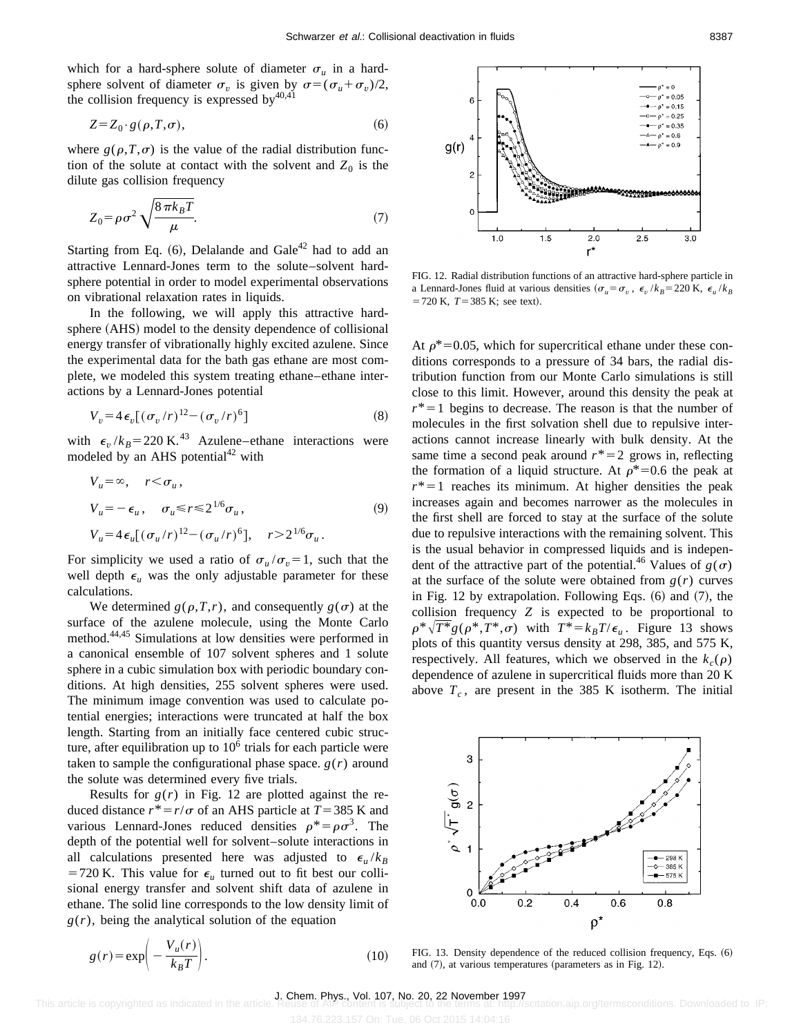which for a hard-sphere solute of diameter  $\sigma_u$  in a hardsphere solvent of diameter  $\sigma_v$  is given by  $\sigma = (\sigma_u + \sigma_v)/2$ , the collision frequency is expressed by  $40,41$ 

$$
Z = Z_0 \cdot g(\rho, T, \sigma),\tag{6}
$$

where  $g(\rho, T, \sigma)$  is the value of the radial distribution function of the solute at contact with the solvent and  $Z_0$  is the dilute gas collision frequency

$$
Z_0 = \rho \sigma^2 \sqrt{\frac{8 \pi k_B T}{\mu}}.
$$
\n(7)

Starting from Eq.  $(6)$ , Delalande and Gale<sup>42</sup> had to add an attractive Lennard-Jones term to the solute–solvent hardsphere potential in order to model experimental observations on vibrational relaxation rates in liquids.

In the following, we will apply this attractive hardsphere (AHS) model to the density dependence of collisional energy transfer of vibrationally highly excited azulene. Since the experimental data for the bath gas ethane are most complete, we modeled this system treating ethane–ethane interactions by a Lennard-Jones potential

$$
V_v = 4\epsilon_v[(\sigma_v/r)^{12} - (\sigma_v/r)^6]
$$
 (8)

with  $\epsilon_v / k_B = 220 \text{ K.}^{43}$  Azulene–ethane interactions were modeled by an AHS potential<sup>42</sup> with

$$
V_u = \infty, \quad r < \sigma_u,
$$
  
\n
$$
V_u = -\epsilon_u, \quad \sigma_u \le r \le 2^{1/6} \sigma_u,
$$
  
\n
$$
V_u = 4\epsilon_u [(\sigma_u/r)^{12} - (\sigma_u/r)^6], \quad r > 2^{1/6} \sigma_u.
$$
\n(9)

For simplicity we used a ratio of  $\sigma_u / \sigma_v = 1$ , such that the well depth  $\epsilon$ <sub>*u*</sub> was the only adjustable parameter for these calculations.

We determined  $g(\rho, T, r)$ , and consequently  $g(\sigma)$  at the surface of the azulene molecule, using the Monte Carlo method.44,45 Simulations at low densities were performed in a canonical ensemble of 107 solvent spheres and 1 solute sphere in a cubic simulation box with periodic boundary conditions. At high densities, 255 solvent spheres were used. The minimum image convention was used to calculate potential energies; interactions were truncated at half the box length. Starting from an initially face centered cubic structure, after equilibration up to  $10<sup>6</sup>$  trials for each particle were taken to sample the configurational phase space.  $g(r)$  around the solute was determined every five trials.

Results for  $g(r)$  in Fig. 12 are plotted against the reduced distance  $r^* = r/\sigma$  of an AHS particle at  $T = 385$  K and various Lennard-Jones reduced densities  $\rho^* = \rho \sigma^3$ . The depth of the potential well for solvent–solute interactions in all calculations presented here was adjusted to  $\epsilon_u / k_B$ =720 K. This value for  $\epsilon$ <sub>*u*</sub> turned out to fit best our collisional energy transfer and solvent shift data of azulene in ethane. The solid line corresponds to the low density limit of  $g(r)$ , being the analytical solution of the equation

$$
g(r) = \exp\left(-\frac{V_u(r)}{k_B T}\right).
$$
 (10)

 $= 0.05$  $= 0.15$  $= 0.25$  $= 0.35$  $= 0.6$  $g(r)$  $= 0.9$  $1.0$  $1,5$  $2.0$  $2,5$  $3.0$ r\*

FIG. 12. Radial distribution functions of an attractive hard-sphere particle in a Lennard-Jones fluid at various densities  $(\sigma_u = \sigma_v, \epsilon_v / k_B = 220 \text{ K}, \epsilon_u / k_B$  $=720$  K,  $T=385$  K; see text).

At  $\rho^*=0.05$ , which for supercritical ethane under these conditions corresponds to a pressure of 34 bars, the radial distribution function from our Monte Carlo simulations is still close to this limit. However, around this density the peak at  $r^*$ =1 begins to decrease. The reason is that the number of molecules in the first solvation shell due to repulsive interactions cannot increase linearly with bulk density. At the same time a second peak around  $r^*=2$  grows in, reflecting the formation of a liquid structure. At  $\rho^*=0.6$  the peak at  $r^*$ =1 reaches its minimum. At higher densities the peak increases again and becomes narrower as the molecules in the first shell are forced to stay at the surface of the solute due to repulsive interactions with the remaining solvent. This is the usual behavior in compressed liquids and is independent of the attractive part of the potential.<sup>46</sup> Values of  $g(\sigma)$ at the surface of the solute were obtained from  $g(r)$  curves in Fig. 12 by extrapolation. Following Eqs.  $(6)$  and  $(7)$ , the collision frequency *Z* is expected to be proportional to  $\rho^* \sqrt{T^*}g(\rho^*,T^*,\sigma)$  with  $T^*=k_BT/\epsilon_u$ . Figure 13 shows plots of this quantity versus density at 298, 385, and 575 K, respectively. All features, which we observed in the  $k_c(\rho)$ dependence of azulene in supercritical fluids more than 20 K above  $T_c$ , are present in the 385 K isotherm. The initial



FIG. 13. Density dependence of the reduced collision frequency, Eqs.  $(6)$ and  $(7)$ , at various temperatures (parameters as in Fig. 12).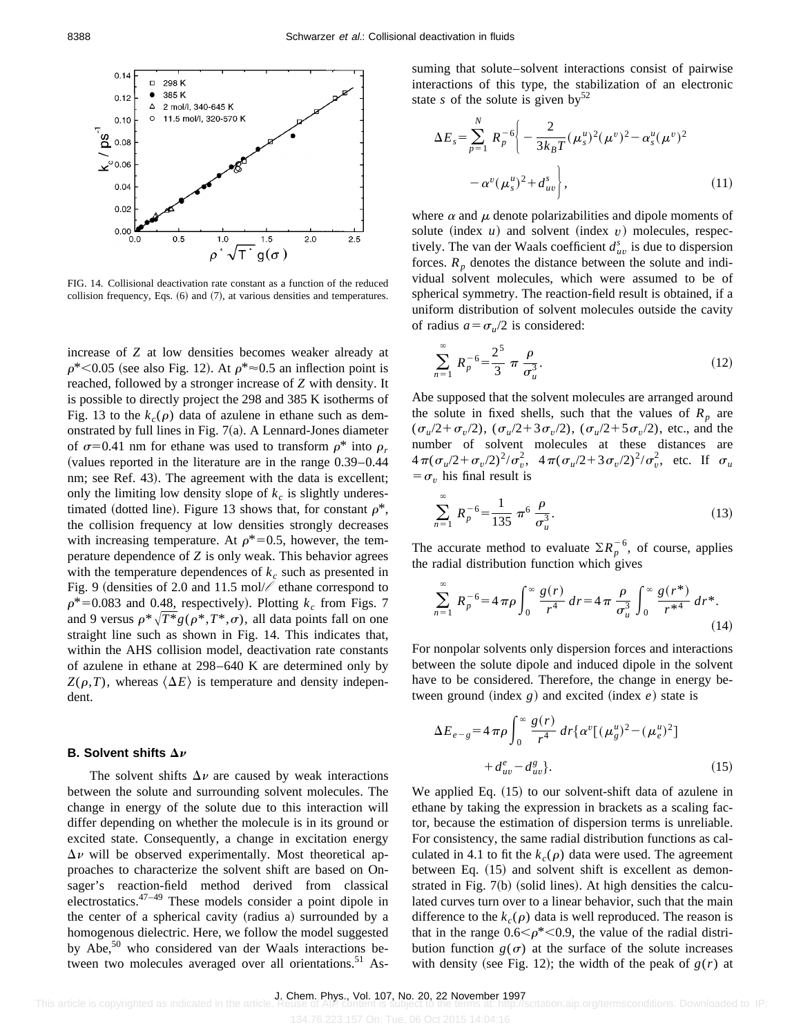

FIG. 14. Collisional deactivation rate constant as a function of the reduced collision frequency, Eqs.  $(6)$  and  $(7)$ , at various densities and temperatures.

increase of *Z* at low densities becomes weaker already at  $\rho^*$  < 0.05 (see also Fig. 12). At  $\rho^* \approx 0.5$  an inflection point is reached, followed by a stronger increase of *Z* with density. It is possible to directly project the 298 and 385 K isotherms of Fig. 13 to the  $k_c(\rho)$  data of azulene in ethane such as demonstrated by full lines in Fig.  $7(a)$ . A Lennard-Jones diameter of  $\sigma$ =0.41 nm for ethane was used to transform  $\rho^*$  into  $\rho_r$  $\alpha$  values reported in the literature are in the range 0.39–0.44 nm; see Ref. 43). The agreement with the data is excellent; only the limiting low density slope of  $k<sub>c</sub>$  is slightly underestimated (dotted line). Figure 13 shows that, for constant  $\rho^*$ , the collision frequency at low densities strongly decreases with increasing temperature. At  $\rho^*=0.5$ , however, the temperature dependence of *Z* is only weak. This behavior agrees with the temperature dependences of  $k_c$  such as presented in Fig. 9 (densities of 2.0 and 11.5 mol/ $\ell$  ethane correspond to  $\rho^*$ =0.083 and 0.48, respectively). Plotting  $k_c$  from Figs. 7 and 9 versus  $\rho^*\sqrt{T^*}g(\rho^*,T^*,\sigma)$ , all data points fall on one straight line such as shown in Fig. 14. This indicates that, within the AHS collision model, deactivation rate constants of azulene in ethane at 298–640 K are determined only by  $Z(\rho,T)$ , whereas  $\langle \Delta E \rangle$  is temperature and density independent.

#### **B. Solvent shifts**  $\Delta \nu$

The solvent shifts  $\Delta \nu$  are caused by weak interactions between the solute and surrounding solvent molecules. The change in energy of the solute due to this interaction will differ depending on whether the molecule is in its ground or excited state. Consequently, a change in excitation energy  $\Delta \nu$  will be observed experimentally. Most theoretical approaches to characterize the solvent shift are based on Onsager's reaction-field method derived from classical electrostatics.47–49 These models consider a point dipole in the center of a spherical cavity (radius a) surrounded by a homogenous dielectric. Here, we follow the model suggested by Abe,<sup>50</sup> who considered van der Waals interactions between two molecules averaged over all orientations.<sup>51</sup> Assuming that solute–solvent interactions consist of pairwise interactions of this type, the stabilization of an electronic state *s* of the solute is given by<sup>52</sup>

$$
\Delta E_s = \sum_{p=1}^{N} R_p^{-6} \left\{ -\frac{2}{3k_B T} (\mu_s^u)^2 (\mu^v)^2 - \alpha_s^u (\mu^v)^2 - \alpha_s^u (\mu^v)^2 - \alpha_s^v (\mu_s^u)^2 + d_{uv}^s \right\},
$$
\n(11)

where  $\alpha$  and  $\mu$  denote polarizabilities and dipole moments of solute (index  $u$ ) and solvent (index  $v$ ) molecules, respectively. The van der Waals coefficient  $d_{uv}^s$  is due to dispersion forces.  $R_p$  denotes the distance between the solute and individual solvent molecules, which were assumed to be of spherical symmetry. The reaction-field result is obtained, if a uniform distribution of solvent molecules outside the cavity of radius  $a = \sigma_u/2$  is considered:

$$
\sum_{n=1}^{\infty} R_p^{-6} = \frac{2^5}{3} \pi \frac{\rho}{\sigma_u^3}.
$$
 (12)

Abe supposed that the solvent molecules are arranged around the solute in fixed shells, such that the values of  $R_p$  are  $(\sigma_u/2 + \sigma_v/2)$ ,  $(\sigma_u/2 + 3\sigma_v/2)$ ,  $(\sigma_u/2 + 5\sigma_v/2)$ , etc., and the number of solvent molecules at these distances are  $4\pi(\sigma_u/2+\sigma_v/2)^2/\sigma_v^2$ ,  $4\pi(\sigma_u/2+3\sigma_v/2)^2/\sigma_v^2$ , etc. If  $\sigma_u$  $= \sigma_n$  his final result is

$$
\sum_{n=1}^{\infty} R_p^{-6} = \frac{1}{135} \pi^6 \frac{\rho}{\sigma_u^3}.
$$
 (13)

The accurate method to evaluate  $\sum R_p^{-6}$ , of course, applies the radial distribution function which gives

$$
\sum_{n=1}^{\infty} R_p^{-6} = 4 \pi \rho \int_0^{\infty} \frac{g(r)}{r^4} dr = 4 \pi \frac{\rho}{\sigma_u^3} \int_0^{\infty} \frac{g(r^*)}{r^{*4}} dr^*.
$$
\n(14)

For nonpolar solvents only dispersion forces and interactions between the solute dipole and induced dipole in the solvent have to be considered. Therefore, the change in energy between ground (index  $g$ ) and excited (index  $e$ ) state is

$$
\Delta E_{e-g} = 4 \pi \rho \int_0^\infty \frac{g(r)}{r^4} dr \{\alpha^v [(\mu_g^u)^2 - (\mu_e^u)^2] + d_{uv}^e - d_{uv}^s \}.
$$
\n(15)

We applied Eq.  $(15)$  to our solvent-shift data of azulene in ethane by taking the expression in brackets as a scaling factor, because the estimation of dispersion terms is unreliable. For consistency, the same radial distribution functions as calculated in 4.1 to fit the  $k_c(\rho)$  data were used. The agreement between Eq.  $(15)$  and solvent shift is excellent as demonstrated in Fig.  $7(b)$  (solid lines). At high densities the calculated curves turn over to a linear behavior, such that the main difference to the  $k_c(\rho)$  data is well reproduced. The reason is that in the range  $0.6<\rho^*<0.9$ , the value of the radial distribution function  $g(\sigma)$  at the surface of the solute increases with density (see Fig. 12); the width of the peak of  $g(r)$  at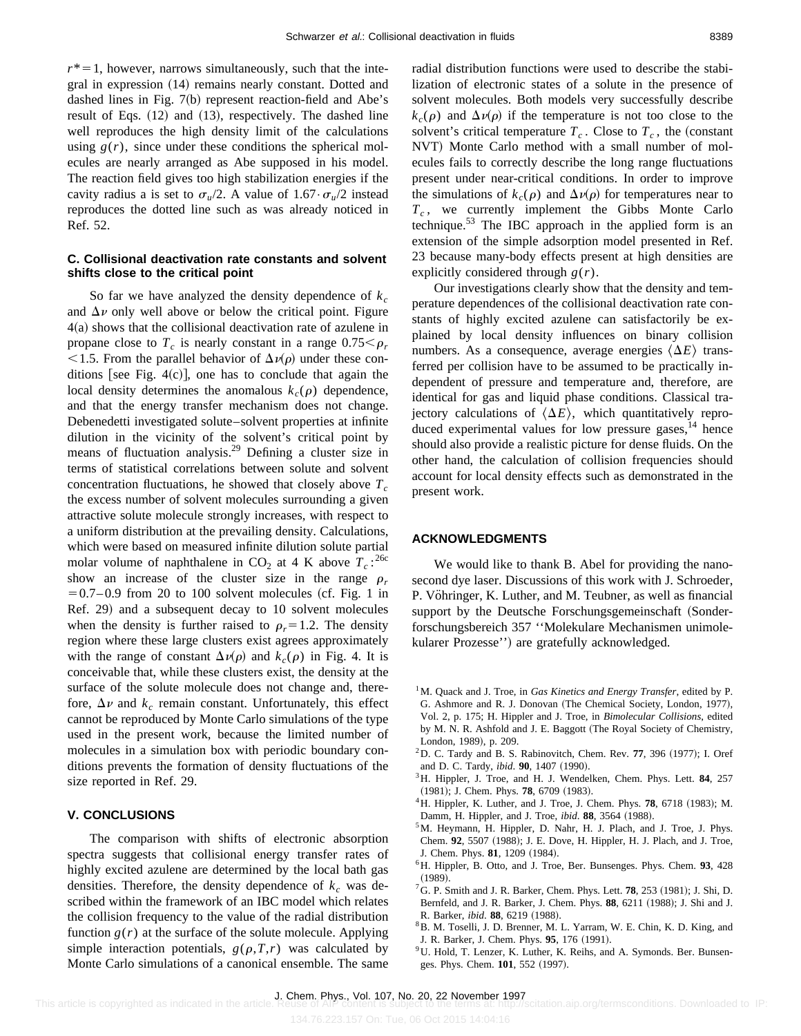$r^*$  = 1, however, narrows simultaneously, such that the integral in expression  $(14)$  remains nearly constant. Dotted and dashed lines in Fig.  $7(b)$  represent reaction-field and Abe's result of Eqs.  $(12)$  and  $(13)$ , respectively. The dashed line well reproduces the high density limit of the calculations using  $g(r)$ , since under these conditions the spherical molecules are nearly arranged as Abe supposed in his model. The reaction field gives too high stabilization energies if the cavity radius a is set to  $\sigma_u/2$ . A value of  $1.67 \cdot \sigma_u/2$  instead reproduces the dotted line such as was already noticed in Ref. 52.

#### **C. Collisional deactivation rate constants and solvent shifts close to the critical point**

So far we have analyzed the density dependence of  $k_c$ and  $\Delta \nu$  only well above or below the critical point. Figure  $4(a)$  shows that the collisional deactivation rate of azulene in propane close to  $T_c$  is nearly constant in a range  $0.75 < \rho_r$ <1.5. From the parallel behavior of  $\Delta\nu(\rho)$  under these conditions [see Fig. 4 $(c)$ ], one has to conclude that again the local density determines the anomalous  $k_c(\rho)$  dependence, and that the energy transfer mechanism does not change. Debenedetti investigated solute–solvent properties at infinite dilution in the vicinity of the solvent's critical point by means of fluctuation analysis.<sup>29</sup> Defining a cluster size in terms of statistical correlations between solute and solvent concentration fluctuations, he showed that closely above  $T_c$ the excess number of solvent molecules surrounding a given attractive solute molecule strongly increases, with respect to a uniform distribution at the prevailing density. Calculations, which were based on measured infinite dilution solute partial molar volume of naphthalene in  $CO_2$  at 4 K above  $T_c$ :<sup>26c</sup> show an increase of the cluster size in the range  $\rho_r$  $=0.7-0.9$  from 20 to 100 solvent molecules (cf. Fig. 1 in Ref. 29) and a subsequent decay to 10 solvent molecules when the density is further raised to  $\rho_r = 1.2$ . The density region where these large clusters exist agrees approximately with the range of constant  $\Delta\nu(\rho)$  and  $k_c(\rho)$  in Fig. 4. It is conceivable that, while these clusters exist, the density at the surface of the solute molecule does not change and, therefore,  $\Delta v$  and  $k_c$  remain constant. Unfortunately, this effect cannot be reproduced by Monte Carlo simulations of the type used in the present work, because the limited number of molecules in a simulation box with periodic boundary conditions prevents the formation of density fluctuations of the size reported in Ref. 29.

#### **V. CONCLUSIONS**

The comparison with shifts of electronic absorption spectra suggests that collisional energy transfer rates of highly excited azulene are determined by the local bath gas densities. Therefore, the density dependence of  $k_c$  was described within the framework of an IBC model which relates the collision frequency to the value of the radial distribution function  $g(r)$  at the surface of the solute molecule. Applying simple interaction potentials,  $g(\rho, T, r)$  was calculated by Monte Carlo simulations of a canonical ensemble. The same radial distribution functions were used to describe the stabilization of electronic states of a solute in the presence of solvent molecules. Both models very successfully describe  $k_c(\rho)$  and  $\Delta\nu(\rho)$  if the temperature is not too close to the solvent's critical temperature  $T_c$ . Close to  $T_c$ , the (constant NVT) Monte Carlo method with a small number of molecules fails to correctly describe the long range fluctuations present under near-critical conditions. In order to improve the simulations of  $k_c(\rho)$  and  $\Delta\nu(\rho)$  for temperatures near to *T<sub>c</sub>*, we currently implement the Gibbs Monte Carlo technique.<sup>53</sup> The IBC approach in the applied form is an extension of the simple adsorption model presented in Ref. 23 because many-body effects present at high densities are

Our investigations clearly show that the density and temperature dependences of the collisional deactivation rate constants of highly excited azulene can satisfactorily be explained by local density influences on binary collision numbers. As a consequence, average energies  $\langle \Delta E \rangle$  transferred per collision have to be assumed to be practically independent of pressure and temperature and, therefore, are identical for gas and liquid phase conditions. Classical trajectory calculations of  $\langle \Delta E \rangle$ , which quantitatively reproduced experimental values for low pressure gases, $14$  hence should also provide a realistic picture for dense fluids. On the other hand, the calculation of collision frequencies should account for local density effects such as demonstrated in the present work.

#### **ACKNOWLEDGMENTS**

explicitly considered through *g*(*r*).

We would like to thank B. Abel for providing the nanosecond dye laser. Discussions of this work with J. Schroeder, P. Vöhringer, K. Luther, and M. Teubner, as well as financial support by the Deutsche Forschungsgemeinschaft (Sonderforschungsbereich 357 ''Molekulare Mechanismen unimolekularer Prozesse") are gratefully acknowledged.

- <sup>1</sup>M. Quack and J. Troe, in *Gas Kinetics and Energy Transfer*, edited by P. G. Ashmore and R. J. Donovan (The Chemical Society, London, 1977), Vol. 2, p. 175; H. Hippler and J. Troe, in *Bimolecular Collisions*, edited by M. N. R. Ashfold and J. E. Baggott (The Royal Society of Chemistry, London, 1989), p. 209.
- ${}^{2}$ D. C. Tardy and B. S. Rabinovitch, Chem. Rev. 77, 396  $(1977)$ ; I. Oref and D. C. Tardy, *ibid*. **90**, 1407 (1990).
- 3H. Hippler, J. Troe, and H. J. Wendelken, Chem. Phys. Lett. **84**, 257 (1981); J. Chem. Phys. **78**, 6709 (1983).
- <sup>4</sup>H. Hippler, K. Luther, and J. Troe, J. Chem. Phys. **78**, 6718 (1983); M. Damm, H. Hippler, and J. Troe, *ibid*. 88, 3564 (1988).
- <sup>5</sup>M. Heymann, H. Hippler, D. Nahr, H. J. Plach, and J. Troe, J. Phys. Chem. 92, 5507 (1988); J. E. Dove, H. Hippler, H. J. Plach, and J. Troe, J. Chem. Phys. **81**, 1209 (1984).
- 6H. Hippler, B. Otto, and J. Troe, Ber. Bunsenges. Phys. Chem. **93**, 428  $(1989)$ .
- ${}^{7}$ G. P. Smith and J. R. Barker, Chem. Phys. Lett. **78**, 253 (1981); J. Shi, D. Bernfeld, and J. R. Barker, J. Chem. Phys. 88, 6211 (1988); J. Shi and J. R. Barker, *ibid.* 88, 6219 (1988).
- 8B. M. Toselli, J. D. Brenner, M. L. Yarram, W. E. Chin, K. D. King, and J. R. Barker, J. Chem. Phys. 95, 176 (1991).
- <sup>9</sup>U. Hold, T. Lenzer, K. Luther, K. Reihs, and A. Symonds. Ber. Bunsenges. Phys. Chem. 101, 552 (1997).